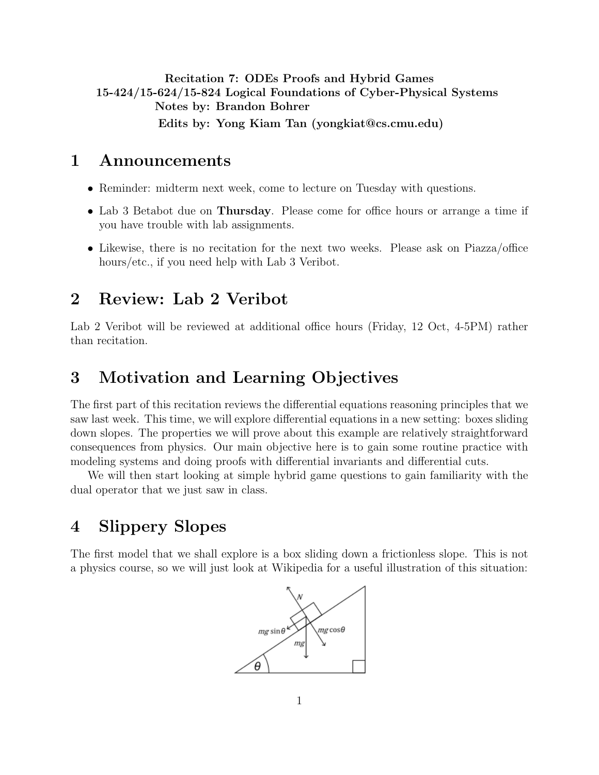<span id="page-0-0"></span>Recitation 7: ODEs Proofs and Hybrid Games 15-424/15-624/15-824 Logical Foundations of Cyber-Physical Systems Notes by: Brandon Bohrer Edits by: Yong Kiam Tan (yongkiat@cs.cmu.edu)

## 1 Announcements

- Reminder: midterm next week, come to lecture on Tuesday with questions.
- Lab 3 Betabot due on Thursday. Please come for office hours or arrange a time if you have trouble with lab assignments.
- Likewise, there is no recitation for the next two weeks. Please ask on Piazza/office hours/etc., if you need help with Lab 3 Veribot.

# 2 Review: Lab 2 Veribot

Lab 2 Veribot will be reviewed at additional office hours (Friday, 12 Oct, 4-5PM) rather than recitation.

# 3 Motivation and Learning Objectives

The first part of this recitation reviews the differential equations reasoning principles that we saw last week. This time, we will explore differential equations in a new setting: boxes sliding down slopes. The properties we will prove about this example are relatively straightforward consequences from physics. Our main objective here is to gain some routine practice with modeling systems and doing proofs with differential invariants and differential cuts.

We will then start looking at simple hybrid game questions to gain familiarity with the dual operator that we just saw in class.

# 4 Slippery Slopes

The first model that we shall explore is a box sliding down a frictionless slope. This is not a physics course, so we will just look at Wikipedia for a useful illustration of this situation:

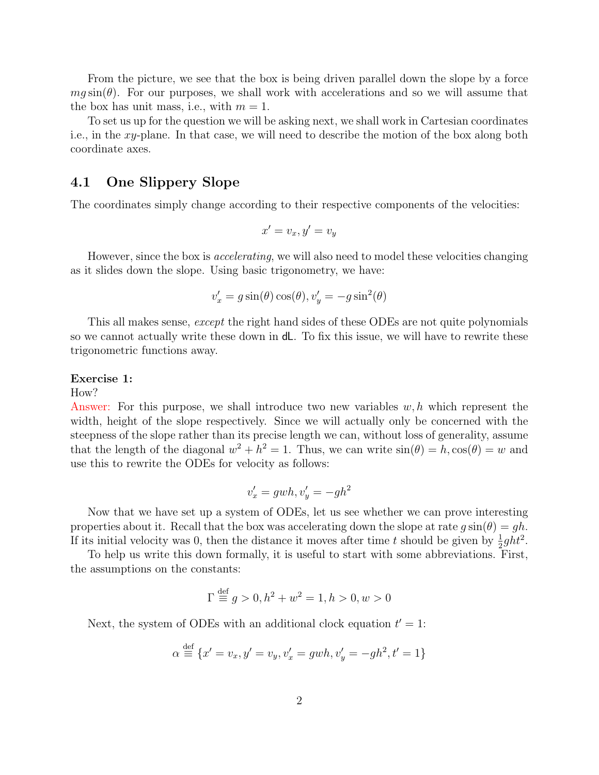From the picture, we see that the box is being driven parallel down the slope by a force  $mg\sin(\theta)$ . For our purposes, we shall work with accelerations and so we will assume that the box has unit mass, i.e., with  $m = 1$ .

To set us up for the question we will be asking next, we shall work in Cartesian coordinates i.e., in the xy-plane. In that case, we will need to describe the motion of the box along both coordinate axes.

### 4.1 One Slippery Slope

The coordinates simply change according to their respective components of the velocities:

$$
x' = v_x, y' = v_y
$$

However, since the box is *accelerating*, we will also need to model these velocities changing as it slides down the slope. Using basic trigonometry, we have:

$$
v_x' = g \sin(\theta) \cos(\theta), v_y' = -g \sin^2(\theta)
$$

This all makes sense, except the right hand sides of these ODEs are not quite polynomials so we cannot actually write these down in dL. To fix this issue, we will have to rewrite these trigonometric functions away.

#### Exercise 1:

#### How?

Answer: For this purpose, we shall introduce two new variables  $w, h$  which represent the width, height of the slope respectively. Since we will actually only be concerned with the steepness of the slope rather than its precise length we can, without loss of generality, assume that the length of the diagonal  $w^2 + h^2 = 1$ . Thus, we can write  $sin(\theta) = h, cos(\theta) = w$  and use this to rewrite the ODEs for velocity as follows:

$$
v_x' = gwh, v_y' = -gh^2
$$

Now that we have set up a system of ODEs, let us see whether we can prove interesting properties about it. Recall that the box was accelerating down the slope at rate  $g \sin(\theta) = gh$ . If its initial velocity was 0, then the distance it moves after time t should be given by  $\frac{1}{2}ght^2$ .

To help us write this down formally, it is useful to start with some abbreviations. First, the assumptions on the constants:

$$
\Gamma \stackrel{\text{def}}{=} g > 0, h^2 + w^2 = 1, h > 0, w > 0
$$

Next, the system of ODEs with an additional clock equation  $t' = 1$ :

$$
\alpha \stackrel{\text{def}}{=} \{x' = v_x, y' = v_y, v'_x = gwh, v'_y = -gh^2, t' = 1\}
$$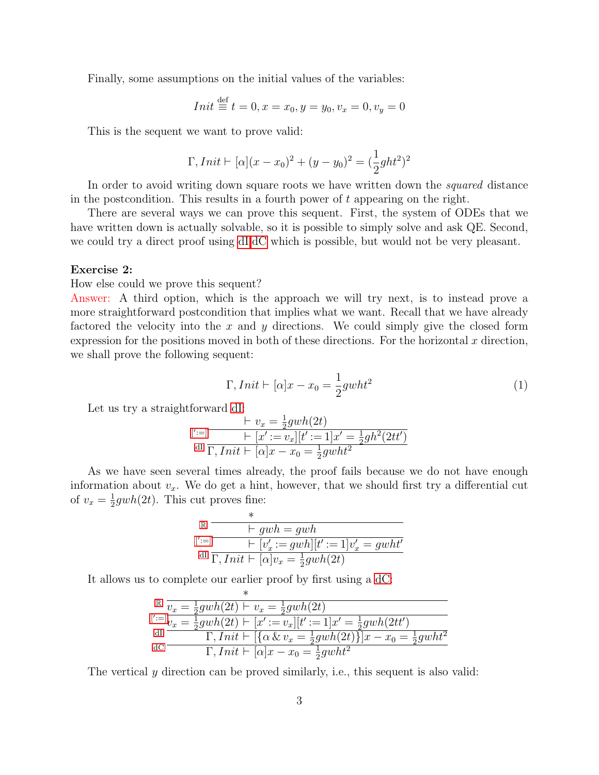Finally, some assumptions on the initial values of the variables:

$$
Init \stackrel{\text{def}}{=} t = 0, x = x_0, y = y_0, v_x = 0, v_y = 0
$$

This is the sequent we want to prove valid:

$$
\Gamma,Init \vdash [\alpha](x - x_0)^2 + (y - y_0)^2 = (\frac{1}{2}ght^2)^2
$$

In order to avoid writing down square roots we have written down the *squared* distance in the postcondition. This results in a fourth power of t appearing on the right.

There are several ways we can prove this sequent. First, the system of ODEs that we have written down is actually solvable, so it is possible to simply solve and ask QE. Second, we could try a direct proof using [dI,dC](#page-0-0) which is possible, but would not be very pleasant.

#### Exercise 2:

How else could we prove this sequent?

Answer: A third option, which is the approach we will try next, is to instead prove a more straightforward postcondition that implies what we want. Recall that we have already factored the velocity into the x and y directions. We could simply give the closed form expression for the positions moved in both of these directions. For the horizontal  $x$  direction, we shall prove the following sequent:

<span id="page-2-0"></span>
$$
\Gamma,Init \vdash [\alpha]x - x_0 = \frac{1}{2} gwht^2 \tag{1}
$$

Let us try a straightforward [dI:](#page-0-0)

$$
\begin{array}{c}\n\vdots \\
\mathbf{y} \cdot \mathbf{z} = \frac{1}{2} g w h(2t) \\
\mathbf{y} \cdot \mathbf{z} = \frac{1}{2} g w h(2t) \\
\mathbf{y} \cdot \mathbf{z} = \frac{1}{2} g h^2(2tt') \\
\mathbf{y} \cdot \mathbf{z} = \frac{1}{2} g w h t^2\n\end{array}
$$

As we have seen several times already, the proof fails because we do not have enough information about  $v_x$ . We do get a hint, however, that we should first try a differential cut of  $v_x = \frac{1}{2}$  $\frac{1}{2} gwh(2t)$ . This cut proves fine:

$$
\begin{array}{ll} \mathbb{R} & \xrightarrow{\quad \ } \\ & \longleftarrow{\quad \ } \\ \mathbb{I}^{\prime :=} & \longleftarrow{\quad \ } \\ \mathbb{I}^{\prime} & \longleftarrow{\quad \ } \\ \mathbb{I}^{\prime} & \overline{\Gamma,Init \vdash [\alpha] v_{x} = \frac{1}{2} g w h(2t)} \end{array} \right. \\ \begin{array}{ll} \mathbb{I} & \longleftarrow{\quad \ } \\ \end{array}
$$

It allows us to complete our earlier proof by first using a [dC:](#page-0-0)

|      | $\sqrt{\frac{1}{x}} \frac{v_x}{v_x} = \frac{1}{2} g w h(2t) + v_x = \frac{1}{2} g w h(2t)$    |
|------|-----------------------------------------------------------------------------------------------|
|      | $[{}^{'}:=]_{v_x} = \frac{1}{2} g w h(2t) + [x' := v_x][t' := 1]x' = \frac{1}{2} g w h(2tt')$ |
| - dI | $\Gamma,Init \vdash [\{\alpha \& v_x = \frac{1}{2}gwh(2t)\}]x - x_0 = \frac{1}{2}gwht^2$      |
| dC   | $\Gamma,Init \vdash [\alpha]x - x_0 = \frac{1}{2}gwht^2$                                      |

The vertical y direction can be proved similarly, i.e., this sequent is also valid: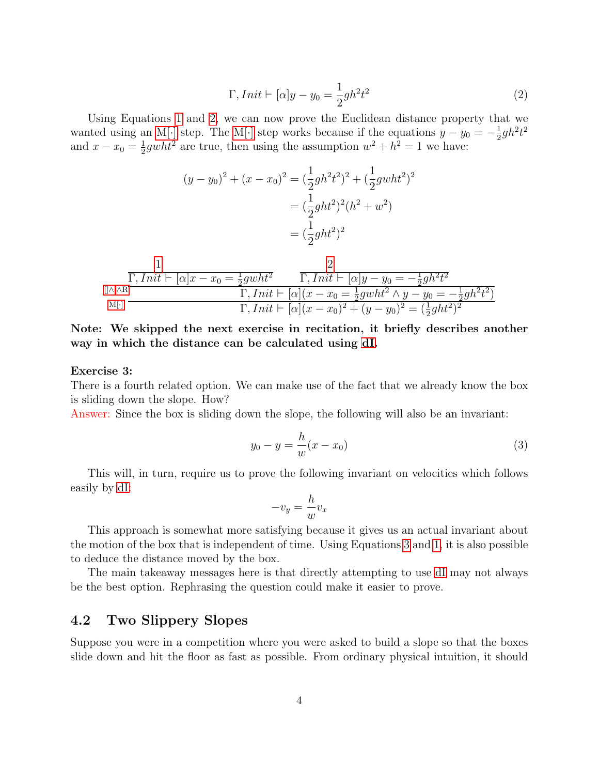<span id="page-3-0"></span>
$$
\Gamma,Init \vdash [\alpha]y - y_0 = \frac{1}{2}gh^2t^2
$$
\n<sup>(2)</sup>

Using Equations [1](#page-2-0) and [2,](#page-3-0) we can now prove the Euclidean distance property that we wanted using an [M\[](#page-0-0)·] step. The M[·] step works because if the equations  $y - y_0 = -\frac{1}{2}$  $\frac{1}{2}gh^2t^2$ and  $x - x_0 = \frac{1}{2}$  $\frac{1}{2} gwht^2$  are true, then using the assumption  $w^2 + h^2 = 1$  we have:

$$
(y - y_0)^2 + (x - x_0)^2 = \left(\frac{1}{2}gh^2t^2\right)^2 + \left(\frac{1}{2}gwht^2\right)^2
$$

$$
= \left(\frac{1}{2}ght^2\right)^2(h^2 + w^2)
$$

$$
= \left(\frac{1}{2}ght^2\right)^2
$$

$$
\frac{1}{\prod_{\substack{\Pi,\wedge\Lambda\mathrm{R}\\ \mathbf{M}[\cdot]}}\frac{1}{\prod_{i}Init \vdash [\alpha]x - x_0 = \frac{1}{2} g w h t^2} \frac{2}{\Gamma,Init \vdash [\alpha]y - y_0 = -\frac{1}{2} g h^2 t^2}}}{\Gamma,Init \vdash [\alpha](x - x_0 = \frac{1}{2} g w h t^2 \wedge y - y_0 = -\frac{1}{2} g h^2 t^2)}{\Gamma,Init \vdash [\alpha](x - x_0)^2 + (y - y_0)^2 = (\frac{1}{2} g h t^2)^2}
$$

Note: We skipped the next exercise in recitation, it briefly describes another way in which the distance can be calculated using [dI.](#page-0-0)

#### Exercise 3:

There is a fourth related option. We can make use of the fact that we already know the box is sliding down the slope. How?

Answer: Since the box is sliding down the slope, the following will also be an invariant:

<span id="page-3-1"></span>
$$
y_0 - y = \frac{h}{w}(x - x_0)
$$
 (3)

This will, in turn, require us to prove the following invariant on velocities which follows easily by [dI:](#page-0-0)

$$
-v_y = \frac{h}{w}v_x
$$

This approach is somewhat more satisfying because it gives us an actual invariant about the motion of the box that is independent of time. Using Equations [3](#page-3-1) and [1,](#page-2-0) it is also possible to deduce the distance moved by the box.

The main takeaway messages here is that directly attempting to use [dI](#page-0-0) may not always be the best option. Rephrasing the question could make it easier to prove.

### 4.2 Two Slippery Slopes

Suppose you were in a competition where you were asked to build a slope so that the boxes slide down and hit the floor as fast as possible. From ordinary physical intuition, it should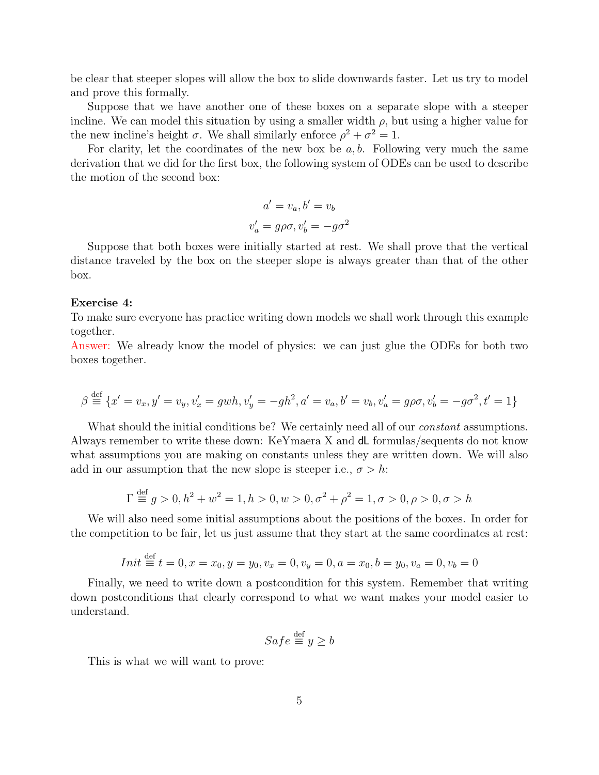be clear that steeper slopes will allow the box to slide downwards faster. Let us try to model and prove this formally.

Suppose that we have another one of these boxes on a separate slope with a steeper incline. We can model this situation by using a smaller width  $\rho$ , but using a higher value for the new incline's height  $\sigma$ . We shall similarly enforce  $\rho^2 + \sigma^2 = 1$ .

For clarity, let the coordinates of the new box be  $a, b$ . Following very much the same derivation that we did for the first box, the following system of ODEs can be used to describe the motion of the second box:

$$
a' = v_a, b' = v_b
$$

$$
v'_a = g\rho\sigma, v'_b = -g\sigma^2
$$

Suppose that both boxes were initially started at rest. We shall prove that the vertical distance traveled by the box on the steeper slope is always greater than that of the other box.

#### Exercise 4:

To make sure everyone has practice writing down models we shall work through this example together.

Answer: We already know the model of physics: we can just glue the ODEs for both two boxes together.

$$
\beta \stackrel{\text{def}}{=} \{x' = v_x, y' = v_y, v'_x = gwh, v'_y = -gh^2, a' = v_a, b' = v_b, v'_a = g\rho\sigma, v'_b = -g\sigma^2, t' = 1\}
$$

What should the initial conditions be? We certainly need all of our *constant* assumptions. Always remember to write these down: KeYmaera X and dL formulas/sequents do not know what assumptions you are making on constants unless they are written down. We will also add in our assumption that the new slope is steeper i.e.,  $\sigma > h$ :

$$
\Gamma \stackrel{\text{def}}{=} g > 0, h^2 + w^2 = 1, h > 0, w > 0, \sigma^2 + \rho^2 = 1, \sigma > 0, \rho > 0, \sigma > h
$$

We will also need some initial assumptions about the positions of the boxes. In order for the competition to be fair, let us just assume that they start at the same coordinates at rest:

$$
Init \stackrel{\text{def}}{=} t = 0, x = x_0, y = y_0, v_x = 0, v_y = 0, a = x_0, b = y_0, v_a = 0, v_b = 0
$$

Finally, we need to write down a postcondition for this system. Remember that writing down postconditions that clearly correspond to what we want makes your model easier to understand.

$$
Safe \stackrel{\text{def}}{=} y \ge b
$$

This is what we will want to prove: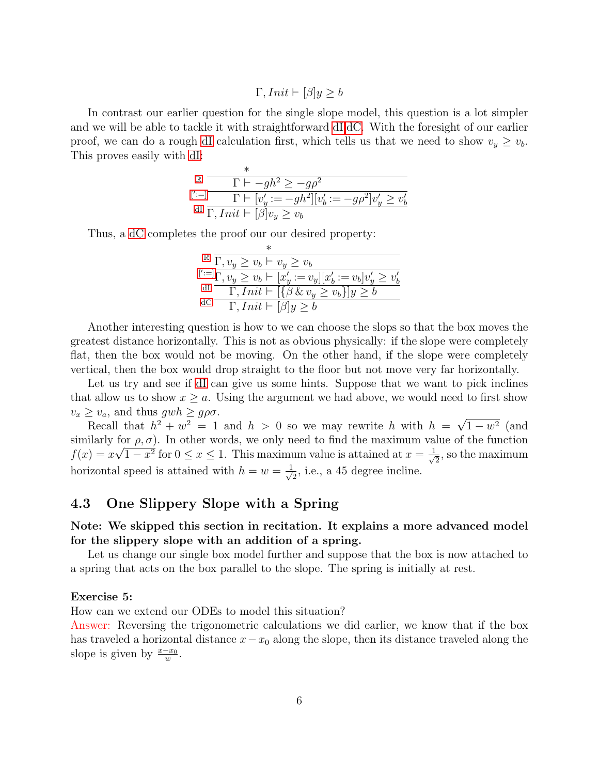$$
\Gamma,Init \vdash [\beta]y \ge b
$$

In contrast our earlier question for the single slope model, this question is a lot simpler and we will be able to tackle it with straightforward [dI,dC.](#page-0-0) With the foresight of our earlier proof, we can do a rough [dI](#page-0-0) calculation first, which tells us that we need to show  $v_y \geq v_b$ . This proves easily with [dI:](#page-0-0)

$$
\mathbb{E} \frac{\Gamma \vdash -gh^2 \ge -g\rho^2}{\Gamma \vdash [v'_y := -gh^2][v'_b := -g\rho^2]v'_y \ge v'_b}
$$
\n
$$
\frac{\text{d} \Gamma}{\Gamma, \text{Init} \vdash [\beta]v_y \ge v_b}
$$

Thus, a [dC](#page-0-0) completes the proof our our desired property:

∗

$$
\begin{array}{c}\n\mathbb{R} \frac{\Gamma}{\Gamma, v_y \geq v_b \vdash v_y \geq v_b} \\
\mathbb{I}^{\text{t}} :=& \frac{\Gamma}{\Gamma, v_y \geq v_b \vdash [x'_y := v_y][x'_b := v_b]v'_y \geq v'_b} \\
\frac{\text{dI}}{\Gamma, \text{Init} \vdash [\{\beta \& v_y \geq v_b\}]y \geq b} \\
\frac{\text{dC}}{\Gamma, \text{Init} \vdash [\beta]y \geq b}\n\end{array}
$$

Another interesting question is how to we can choose the slops so that the box moves the greatest distance horizontally. This is not as obvious physically: if the slope were completely flat, then the box would not be moving. On the other hand, if the slope were completely vertical, then the box would drop straight to the floor but not move very far horizontally.

Let us try and see if [dI](#page-0-0) can give us some hints. Suppose that we want to pick inclines that allow us to show  $x \geq a$ . Using the argument we had above, we would need to first show  $v_x \ge v_a$ , and thus  $gwh \ge g\rho\sigma$ . √

Recall that  $h^2 + w^2 = 1$  and  $h > 0$  so we may rewrite h with  $h =$  $1 - w^2$  (and similarly for  $\rho$ ,  $\sigma$ ). In other words, we only need to find the maximum value of the function  $f(x) = x\sqrt{1-x^2}$  for  $0 \le x \le 1$ . This maximum value is attained at  $x = \frac{1}{\sqrt{1-x^2}}$  $\frac{1}{2}$ , so the maximum horizontal speed is attained with  $h = w = \frac{1}{\sqrt{2}}$  $\frac{1}{2}$ , i.e., a 45 degree incline.

## 4.3 One Slippery Slope with a Spring

### Note: We skipped this section in recitation. It explains a more advanced model for the slippery slope with an addition of a spring.

Let us change our single box model further and suppose that the box is now attached to a spring that acts on the box parallel to the slope. The spring is initially at rest.

#### Exercise 5:

How can we extend our ODEs to model this situation?

Answer: Reversing the trigonometric calculations we did earlier, we know that if the box has traveled a horizontal distance  $x-x_0$  along the slope, then its distance traveled along the slope is given by  $\frac{x-x_0}{w}$ .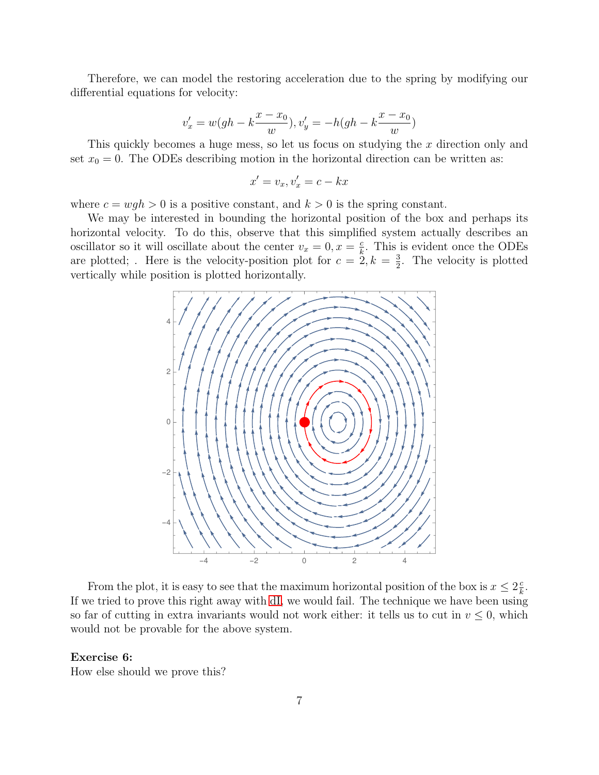Therefore, we can model the restoring acceleration due to the spring by modifying our differential equations for velocity:

$$
v'_x = w(gh - k\frac{x - x_0}{w}), v'_y = -h(gh - k\frac{x - x_0}{w})
$$

This quickly becomes a huge mess, so let us focus on studying the x direction only and set  $x_0 = 0$ . The ODEs describing motion in the horizontal direction can be written as:

$$
x' = v_x, v'_x = c - kx
$$

where  $c = wgh > 0$  is a positive constant, and  $k > 0$  is the spring constant.

We may be interested in bounding the horizontal position of the box and perhaps its horizontal velocity. To do this, observe that this simplified system actually describes an oscillator so it will oscillate about the center  $v_x = 0, x = \frac{c}{k}$  $\frac{c}{k}$ . This is evident once the ODEs are plotted; Here is the velocity-position plot for  $c = 2, k = \frac{3}{2}$  $\frac{3}{2}$ . The velocity is plotted vertically while position is plotted horizontally.



From the plot, it is easy to see that the maximum horizontal position of the box is  $x \leq 2\frac{c}{k}$  $\frac{c}{k}$ . If we tried to prove this right away with [dI,](#page-0-0) we would fail. The technique we have been using so far of cutting in extra invariants would not work either: it tells us to cut in  $v \leq 0$ , which would not be provable for the above system.

#### Exercise 6:

How else should we prove this?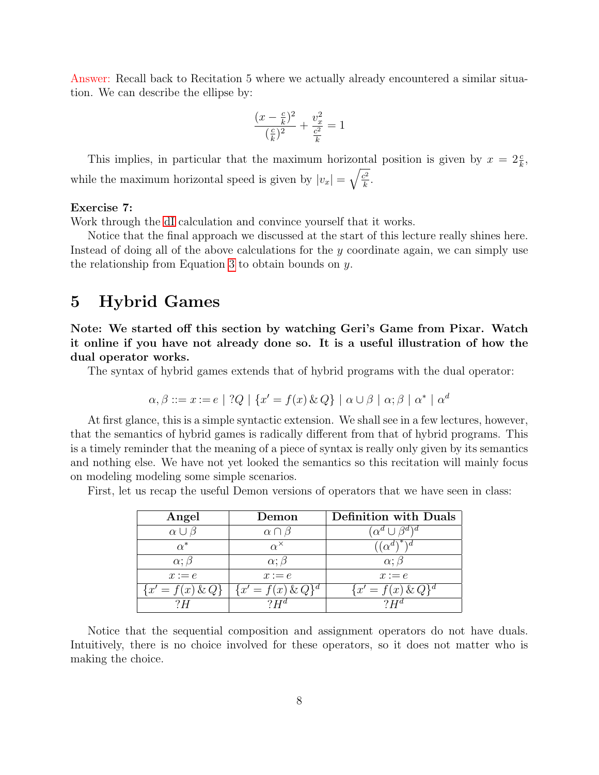Answer: Recall back to Recitation 5 where we actually already encountered a similar situation. We can describe the ellipse by:

$$
\frac{(x - \frac{c}{k})^2}{(\frac{c}{k})^2} + \frac{v_x^2}{\frac{c^2}{k}} = 1
$$

This implies, in particular that the maximum horizontal position is given by  $x = 2\frac{c}{k}$ , while the maximum horizontal speed is given by  $|v_x| = \sqrt{\frac{c^2}{k}}$  $\frac{c^2}{k}$ .

#### Exercise 7:

Work through the [dI](#page-0-0) calculation and convince yourself that it works.

Notice that the final approach we discussed at the start of this lecture really shines here. Instead of doing all of the above calculations for the y coordinate again, we can simply use the relationship from Equation [3](#page-3-1) to obtain bounds on y.

# 5 Hybrid Games

Note: We started off this section by watching Geri's Game from Pixar. Watch it online if you have not already done so. It is a useful illustration of how the dual operator works.

The syntax of hybrid games extends that of hybrid programs with the dual operator:

$$
\alpha, \beta ::= x := e \mid ?Q \mid \{x' = f(x) \& Q\} \mid \alpha \cup \beta \mid \alpha; \beta \mid \alpha^* \mid \alpha^d
$$

At first glance, this is a simple syntactic extension. We shall see in a few lectures, however, that the semantics of hybrid games is radically different from that of hybrid programs. This is a timely reminder that the meaning of a piece of syntax is really only given by its semantics and nothing else. We have not yet looked the semantics so this recitation will mainly focus on modeling modeling some simple scenarios.

First, let us recap the useful Demon versions of operators that we have seen in class:

| Angel               | Demon                | <b>Definition with Duals</b> |
|---------------------|----------------------|------------------------------|
| $\alpha \cup \beta$ | $\alpha \cap \beta$  |                              |
| $\alpha^*$          | $\alpha^{\times}$    | $\alpha^a$                   |
| $\alpha$ ; $\beta$  | $\alpha$ ; $\beta$   | $\alpha$ ; $\beta$           |
| $x := e$            | $x := e$             | $x := e$                     |
| ${x' = f(x) \& Q}$  | ${x' = f(x) \& Q}^d$ | $\{x'=f(x)\,\&\,Q\}^d$       |
| ? H                 |                      |                              |

Notice that the sequential composition and assignment operators do not have duals. Intuitively, there is no choice involved for these operators, so it does not matter who is making the choice.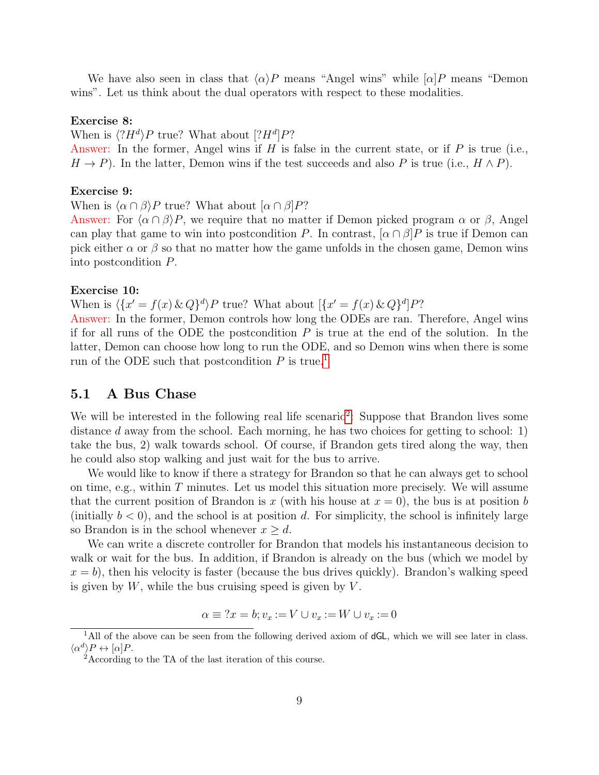We have also seen in class that  $\langle \alpha \rangle P$  means "Angel wins" while  $[\alpha]P$  means "Demon wins". Let us think about the dual operators with respect to these modalities.

#### Exercise 8:

When is  $\langle ?H^d \rangle P$  true? What about  $[?H^d]P?$ 

Answer: In the former, Angel wins if H is false in the current state, or if P is true (i.e.,  $H \to P$ ). In the latter, Demon wins if the test succeeds and also P is true (i.e.,  $H \wedge P$ ).

#### Exercise 9:

When is  $\langle \alpha \cap \beta \rangle P$  true? What about  $[\alpha \cap \beta]P$ ?

Answer: For  $\langle \alpha \cap \beta \rangle P$ , we require that no matter if Demon picked program  $\alpha$  or  $\beta$ , Angel can play that game to win into postcondition P. In contrast,  $[\alpha \cap \beta]P$  is true if Demon can pick either  $\alpha$  or  $\beta$  so that no matter how the game unfolds in the chosen game, Demon wins into postcondition P.

#### Exercise 10:

When is  $\langle \{x' = f(x) \& Q\}^d \rangle P$  true? What about  $[\{x' = f(x) \& Q\}^d]P$ ?

Answer: In the former, Demon controls how long the ODEs are ran. Therefore, Angel wins if for all runs of the ODE the postcondition  $P$  is true at the end of the solution. In the latter, Demon can choose how long to run the ODE, and so Demon wins when there is some run of the ODE such that postcondition  $P$  is true.<sup>[1](#page-8-0)</sup>

### 5.1 A Bus Chase

We will be interested in the following real life scenario<sup>[2](#page-8-1)</sup>: Suppose that Brandon lives some distance d away from the school. Each morning, he has two choices for getting to school: 1) take the bus, 2) walk towards school. Of course, if Brandon gets tired along the way, then he could also stop walking and just wait for the bus to arrive.

We would like to know if there a strategy for Brandon so that he can always get to school on time, e.g., within  $T$  minutes. Let us model this situation more precisely. We will assume that the current position of Brandon is x (with his house at  $x = 0$ ), the bus is at position b (initially  $b < 0$ ), and the school is at position d. For simplicity, the school is infinitely large so Brandon is in the school whenever  $x \geq d$ .

We can write a discrete controller for Brandon that models his instantaneous decision to walk or wait for the bus. In addition, if Brandon is already on the bus (which we model by  $x = b$ , then his velocity is faster (because the bus drives quickly). Brandon's walking speed is given by  $W$ , while the bus cruising speed is given by  $V$ .

$$
\alpha \equiv ?x = b; v_x := V \cup v_x := W \cup v_x := 0
$$

<span id="page-8-0"></span><sup>&</sup>lt;sup>1</sup>All of the above can be seen from the following derived axiom of dGL, which we will see later in class.  $\langle \alpha^d \rangle P \leftrightarrow [\alpha] P.$ 

<span id="page-8-1"></span><sup>&</sup>lt;sup>2</sup>According to the TA of the last iteration of this course.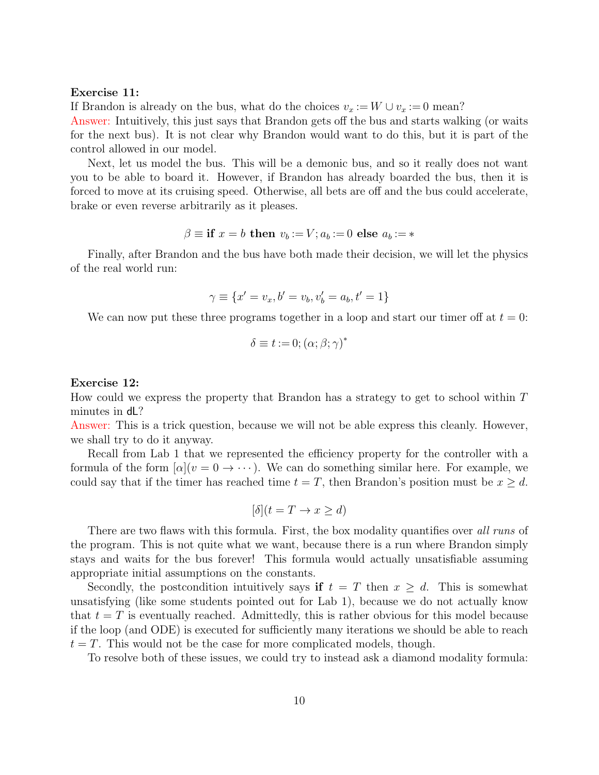#### Exercise 11:

If Brandon is already on the bus, what do the choices  $v_x := W \cup v_x := 0$  mean?

Answer: Intuitively, this just says that Brandon gets off the bus and starts walking (or waits for the next bus). It is not clear why Brandon would want to do this, but it is part of the control allowed in our model.

Next, let us model the bus. This will be a demonic bus, and so it really does not want you to be able to board it. However, if Brandon has already boarded the bus, then it is forced to move at its cruising speed. Otherwise, all bets are off and the bus could accelerate, brake or even reverse arbitrarily as it pleases.

$$
\beta \equiv \textbf{if } x = b \textbf{ then } v_b := V; a_b := 0 \textbf{ else } a_b := *
$$

Finally, after Brandon and the bus have both made their decision, we will let the physics of the real world run:

$$
\gamma \equiv \{x' = v_x, b' = v_b, v'_b = a_b, t' = 1\}
$$

We can now put these three programs together in a loop and start our timer off at  $t = 0$ :

$$
\delta \equiv t := 0; (\alpha; \beta; \gamma)^*
$$

#### Exercise 12:

How could we express the property that Brandon has a strategy to get to school within  $T$ minutes in dL?

Answer: This is a trick question, because we will not be able express this cleanly. However, we shall try to do it anyway.

Recall from Lab 1 that we represented the efficiency property for the controller with a formula of the form  $[\alpha](v = 0 \rightarrow \cdots)$ . We can do something similar here. For example, we could say that if the timer has reached time  $t = T$ , then Brandon's position must be  $x \geq d$ .

$$
[\delta](t = T \to x \ge d)
$$

There are two flaws with this formula. First, the box modality quantifies over all runs of the program. This is not quite what we want, because there is a run where Brandon simply stays and waits for the bus forever! This formula would actually unsatisfiable assuming appropriate initial assumptions on the constants.

Secondly, the postcondition intuitively says if  $t = T$  then  $x > d$ . This is somewhat unsatisfying (like some students pointed out for Lab 1), because we do not actually know that  $t = T$  is eventually reached. Admittedly, this is rather obvious for this model because if the loop (and ODE) is executed for sufficiently many iterations we should be able to reach  $t = T$ . This would not be the case for more complicated models, though.

To resolve both of these issues, we could try to instead ask a diamond modality formula: